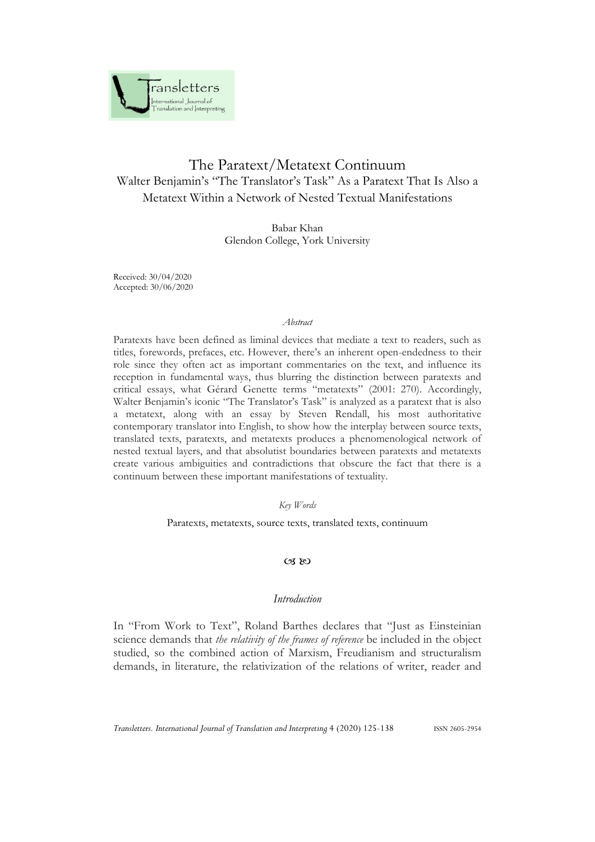

# The Paratext/Metatext Continuum Walter Benjamin's "The Translator's Task" As a Paratext That Is Also a Metatext Within a Network of Nested Textual Manifestations

Babar Khan Glendon College, York University

Received: 30/04/2020 Accepted: 30/06/2020

### *Abstract*

Paratexts have been defined as liminal devices that mediate a text to readers, such as titles, forewords, prefaces, etc. However, there's an inherent open-endedness to their role since they often act as important commentaries on the text, and influence its reception in fundamental ways, thus blurring the distinction between paratexts and critical essays, what Gérard Genette terms "metatexts" (2001: 270). Accordingly, Walter Benjamin's iconic "The Translator's Task" is analyzed as a paratext that is also a metatext, along with an essay by Steven Rendall, his most authoritative contemporary translator into English, to show how the interplay between source texts, translated texts, paratexts, and metatexts produces a phenomenological network of nested textual layers, and that absolutist boundaries between paratexts and metatexts create various ambiguities and contradictions that obscure the fact that there is a continuum between these important manifestations of textuality.

*Key Words*

Paratexts, metatexts, source texts, translated texts, continuum

# $CZ$  &  $CZ$

# *Introduction*

In "From Work to Text", Roland Barthes declares that "Just as Einsteinian science demands that *the relativity of the frames of reference* be included in the object studied, so the combined action of Marxism, Freudianism and structuralism demands, in literature, the relativization of the relations of writer, reader and

*Transletters. International Journal of Translation and Interpreting* 4 (2020) 125-138 ISSN 2605-2954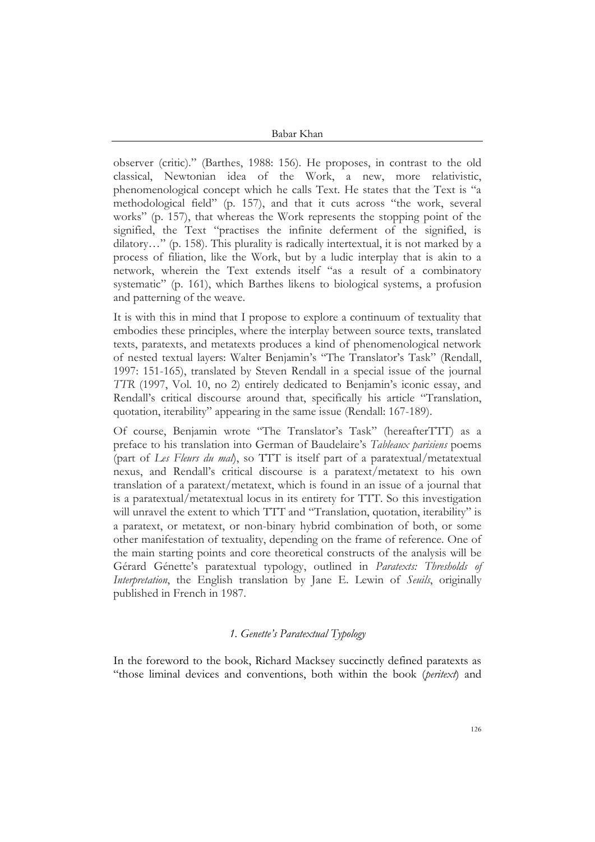observer (critic)." (Barthes, 1988: 156). He proposes, in contrast to the old classical, Newtonian idea of the Work, a new, more relativistic, phenomenological concept which he calls Text. He states that the Text is "a methodological field" (p. 157), and that it cuts across "the work, several works" (p. 157), that whereas the Work represents the stopping point of the signified, the Text "practises the infinite deferment of the signified, is dilatory…" (p. 158). This plurality is radically intertextual, it is not marked by a process of filiation, like the Work, but by a ludic interplay that is akin to a network, wherein the Text extends itself "as a result of a combinatory systematic" (p. 161), which Barthes likens to biological systems, a profusion and patterning of the weave.

It is with this in mind that I propose to explore a continuum of textuality that embodies these principles, where the interplay between source texts, translated texts, paratexts, and metatexts produces a kind of phenomenological network of nested textual layers: Walter Benjamin's "The Translator's Task" (Rendall, 1997: 151-165), translated by Steven Rendall in a special issue of the journal *TTR* (1997, Vol. 10, no 2) entirely dedicated to Benjamin's iconic essay, and Rendall's critical discourse around that, specifically his article "Translation, quotation, iterability" appearing in the same issue (Rendall: 167-189).

Of course, Benjamin wrote "The Translator's Task" (hereafterTTT) as a preface to his translation into German of Baudelaire's *Tableaux parisiens* poems (part of *Les Fleurs du mal*), so TTT is itself part of a paratextual/metatextual nexus, and Rendall's critical discourse is a paratext/metatext to his own translation of a paratext/metatext, which is found in an issue of a journal that is a paratextual/metatextual locus in its entirety for TTT. So this investigation will unravel the extent to which TTT and "Translation, quotation, iterability" is a paratext, or metatext, or non-binary hybrid combination of both, or some other manifestation of textuality, depending on the frame of reference. One of the main starting points and core theoretical constructs of the analysis will be Gérard Génette's paratextual typology, outlined in *Paratexts: Thresholds of Interpretation*, the English translation by Jane E. Lewin of *Seuils*, originally published in French in 1987.

# *1. Genette's Paratextual Typology*

In the foreword to the book, Richard Macksey succinctly defined paratexts as "those liminal devices and conventions, both within the book (*peritext*) and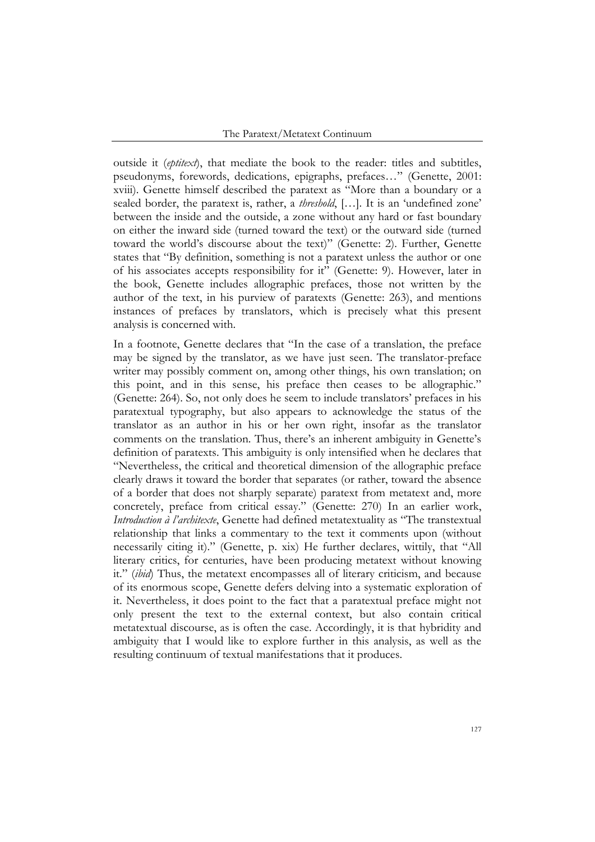outside it (*eptitext*), that mediate the book to the reader: titles and subtitles, pseudonyms, forewords, dedications, epigraphs, prefaces…" (Genette, 2001: xviii). Genette himself described the paratext as "More than a boundary or a sealed border, the paratext is, rather, a *threshold*, […]. It is an 'undefined zone' between the inside and the outside, a zone without any hard or fast boundary on either the inward side (turned toward the text) or the outward side (turned toward the world's discourse about the text)" (Genette: 2). Further, Genette states that "By definition, something is not a paratext unless the author or one of his associates accepts responsibility for it" (Genette: 9). However, later in the book, Genette includes allographic prefaces, those not written by the author of the text, in his purview of paratexts (Genette: 263), and mentions instances of prefaces by translators, which is precisely what this present analysis is concerned with.

In a footnote, Genette declares that "In the case of a translation, the preface may be signed by the translator, as we have just seen. The translator-preface writer may possibly comment on, among other things, his own translation; on this point, and in this sense, his preface then ceases to be allographic." (Genette: 264). So, not only does he seem to include translators' prefaces in his paratextual typography, but also appears to acknowledge the status of the translator as an author in his or her own right, insofar as the translator comments on the translation. Thus, there's an inherent ambiguity in Genette's definition of paratexts. This ambiguity is only intensified when he declares that "Nevertheless, the critical and theoretical dimension of the allographic preface clearly draws it toward the border that separates (or rather, toward the absence of a border that does not sharply separate) paratext from metatext and, more concretely, preface from critical essay." (Genette: 270) In an earlier work, *Introduction à l'architexte*, Genette had defined metatextuality as "The transtextual relationship that links a commentary to the text it comments upon (without necessarily citing it)." (Genette, p. xix) He further declares, wittily, that "All literary critics, for centuries, have been producing metatext without knowing it." (*ibid*) Thus, the metatext encompasses all of literary criticism, and because of its enormous scope, Genette defers delving into a systematic exploration of it. Nevertheless, it does point to the fact that a paratextual preface might not only present the text to the external context, but also contain critical metatextual discourse, as is often the case. Accordingly, it is that hybridity and ambiguity that I would like to explore further in this analysis, as well as the resulting continuum of textual manifestations that it produces.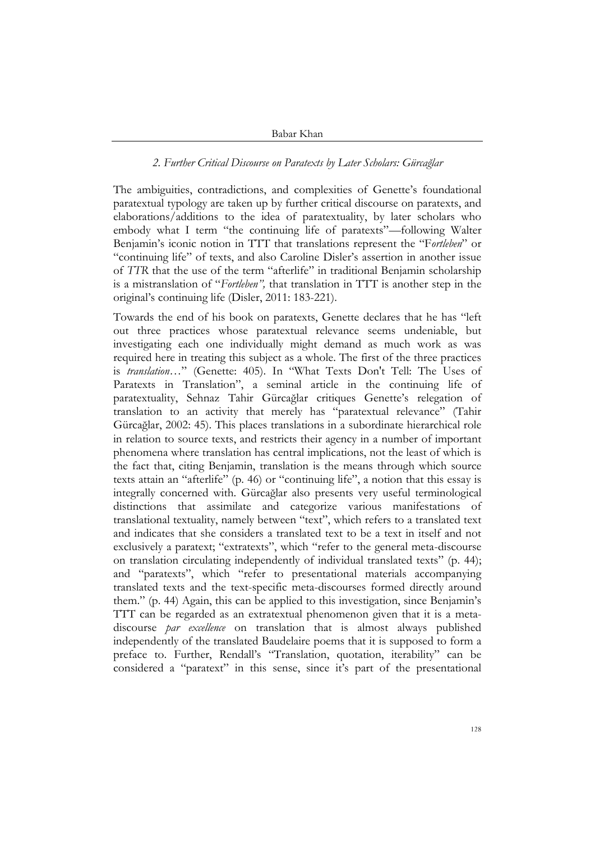# *2. Further Critical Discourse on Paratexts by Later Scholars: Gürcağlar*

The ambiguities, contradictions, and complexities of Genette's foundational paratextual typology are taken up by further critical discourse on paratexts, and elaborations/additions to the idea of paratextuality, by later scholars who embody what I term "the continuing life of paratexts"—following Walter Benjamin's iconic notion in TTT that translations represent the "F*ortleben*" or "continuing life" of texts, and also Caroline Disler's assertion in another issue of *TTR* that the use of the term "afterlife" in traditional Benjamin scholarship is a mistranslation of "*Fortleben",* that translation in TTT is another step in the original's continuing life (Disler, 2011: 183-221).

Towards the end of his book on paratexts, Genette declares that he has "left out three practices whose paratextual relevance seems undeniable, but investigating each one individually might demand as much work as was required here in treating this subject as a whole. The first of the three practices is *translation*…" (Genette: 405). In "What Texts Don't Tell: The Uses of Paratexts in Translation", a seminal article in the continuing life of paratextuality, Sehnaz Tahir Gürcağlar critiques Genette's relegation of translation to an activity that merely has "paratextual relevance" (Tahir Gürcağlar, 2002: 45). This places translations in a subordinate hierarchical role in relation to source texts, and restricts their agency in a number of important phenomena where translation has central implications, not the least of which is the fact that, citing Benjamin, translation is the means through which source texts attain an "afterlife" (p. 46) or "continuing life", a notion that this essay is integrally concerned with. Gürcağlar also presents very useful terminological distinctions that assimilate and categorize various manifestations of translational textuality, namely between "text", which refers to a translated text and indicates that she considers a translated text to be a text in itself and not exclusively a paratext; "extratexts", which "refer to the general meta-discourse on translation circulating independently of individual translated texts" (p. 44); and "paratexts", which "refer to presentational materials accompanying translated texts and the text-specific meta-discourses formed directly around them." (p. 44) Again, this can be applied to this investigation, since Benjamin's TTT can be regarded as an extratextual phenomenon given that it is a metadiscourse *par excellence* on translation that is almost always published independently of the translated Baudelaire poems that it is supposed to form a preface to. Further, Rendall's "Translation, quotation, iterability" can be considered a "paratext" in this sense, since it's part of the presentational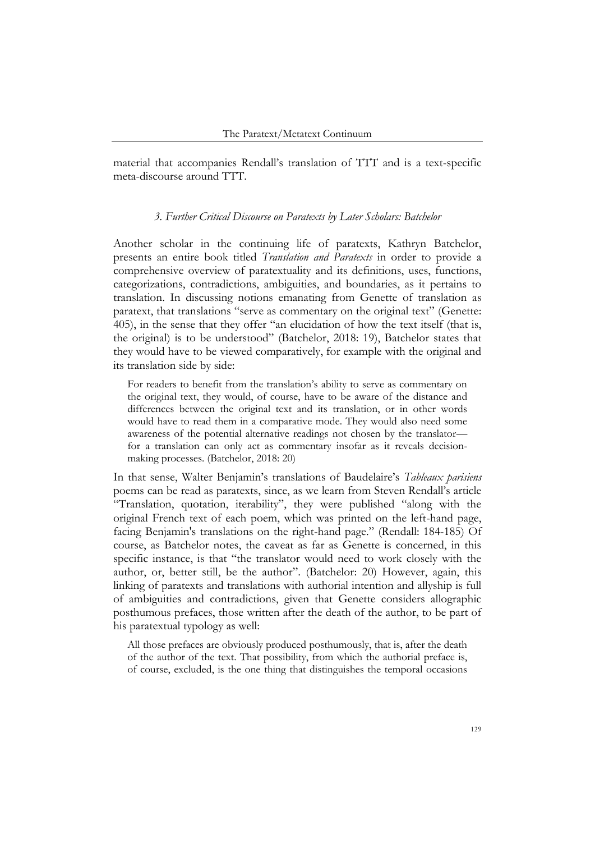material that accompanies Rendall's translation of TTT and is a text-specific meta-discourse around TTT.

### *3. Further Critical Discourse on Paratexts by Later Scholars: Batchelor*

Another scholar in the continuing life of paratexts, Kathryn Batchelor, presents an entire book titled *Translation and Paratexts* in order to provide a comprehensive overview of paratextuality and its definitions, uses, functions, categorizations, contradictions, ambiguities, and boundaries, as it pertains to translation. In discussing notions emanating from Genette of translation as paratext, that translations "serve as commentary on the original text" (Genette: 405), in the sense that they offer "an elucidation of how the text itself (that is, the original) is to be understood" (Batchelor, 2018: 19), Batchelor states that they would have to be viewed comparatively, for example with the original and its translation side by side:

For readers to benefit from the translation's ability to serve as commentary on the original text, they would, of course, have to be aware of the distance and differences between the original text and its translation, or in other words would have to read them in a comparative mode. They would also need some awareness of the potential alternative readings not chosen by the translator for a translation can only act as commentary insofar as it reveals decisionmaking processes. (Batchelor, 2018: 20)

In that sense, Walter Benjamin's translations of Baudelaire's *Tableaux parisiens* poems can be read as paratexts, since, as we learn from Steven Rendall's article "Translation, quotation, iterability", they were published "along with the original French text of each poem, which was printed on the left-hand page, facing Benjamin's translations on the right-hand page." (Rendall: 184-185) Of course, as Batchelor notes, the caveat as far as Genette is concerned, in this specific instance, is that "the translator would need to work closely with the author, or, better still, be the author". (Batchelor: 20) However, again, this linking of paratexts and translations with authorial intention and allyship is full of ambiguities and contradictions, given that Genette considers allographic posthumous prefaces, those written after the death of the author, to be part of his paratextual typology as well:

All those prefaces are obviously produced posthumously, that is, after the death of the author of the text. That possibility, from which the authorial preface is, of course, excluded, is the one thing that distinguishes the temporal occasions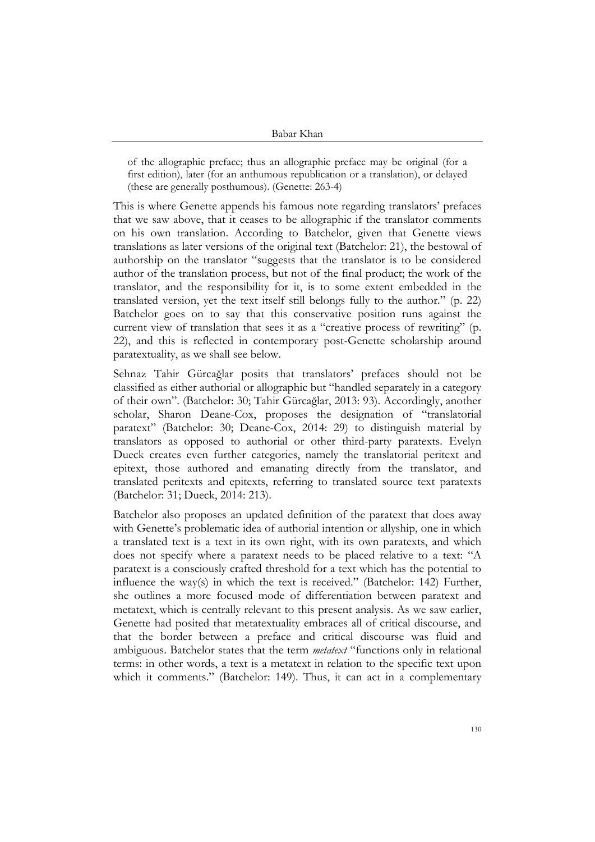of the allographic preface; thus an allographic preface may be original (for a first edition), later (for an anthumous republication or a translation), or delayed (these are generally posthumous). (Genette: 263-4)

This is where Genette appends his famous note regarding translators' prefaces that we saw above, that it ceases to be allographic if the translator comments on his own translation. According to Batchelor, given that Genette views translations as later versions of the original text (Batchelor: 21), the bestowal of authorship on the translator "suggests that the translator is to be considered author of the translation process, but not of the final product; the work of the translator, and the responsibility for it, is to some extent embedded in the translated version, yet the text itself still belongs fully to the author." (p. 22) Batchelor goes on to say that this conservative position runs against the current view of translation that sees it as a "creative process of rewriting" (p. 22), and this is reflected in contemporary post-Genette scholarship around paratextuality, as we shall see below.

Sehnaz Tahir Gürcağlar posits that translators' prefaces should not be classified as either authorial or allographic but "handled separately in a category of their own". (Batchelor: 30; Tahir Gürcağlar, 2013: 93). Accordingly, another scholar, Sharon Deane-Cox, proposes the designation of "translatorial paratext" (Batchelor: 30; Deane-Cox, 2014: 29) to distinguish material by translators as opposed to authorial or other third-party paratexts. Evelyn Dueck creates even further categories, namely the translatorial peritext and epitext, those authored and emanating directly from the translator, and translated peritexts and epitexts, referring to translated source text paratexts (Batchelor: 31; Dueck, 2014: 213).

Batchelor also proposes an updated definition of the paratext that does away with Genette's problematic idea of authorial intention or allyship, one in which a translated text is a text in its own right, with its own paratexts, and which does not specify where a paratext needs to be placed relative to a text: "A paratext is a consciously crafted threshold for a text which has the potential to influence the way(s) in which the text is received." (Batchelor: 142) Further, she outlines a more focused mode of differentiation between paratext and metatext, which is centrally relevant to this present analysis. As we saw earlier, Genette had posited that metatextuality embraces all of critical discourse, and that the border between a preface and critical discourse was fluid and ambiguous. Batchelor states that the term *metatext* "functions only in relational terms: in other words, a text is a metatext in relation to the specific text upon which it comments." (Batchelor: 149). Thus, it can act in a complementary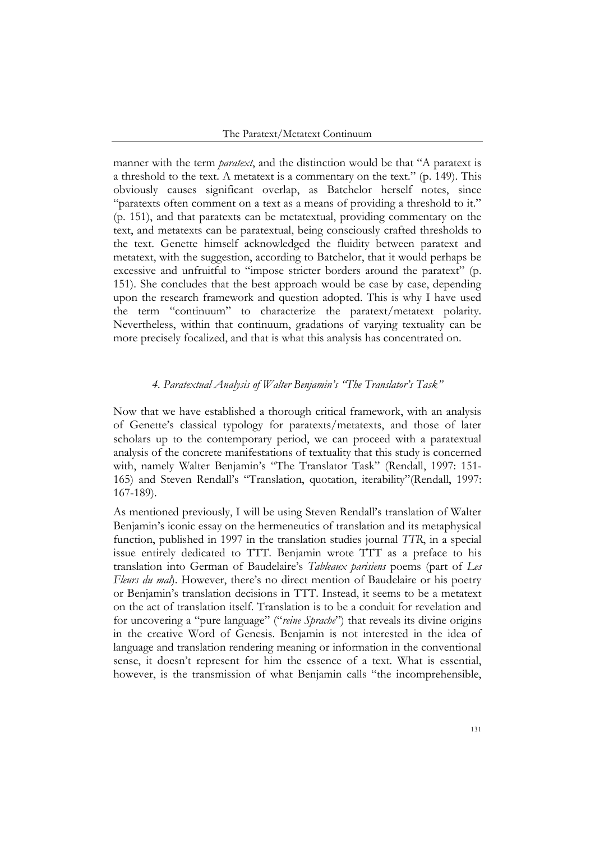manner with the term *paratext*, and the distinction would be that "A paratext is a threshold to the text. A metatext is a commentary on the text." (p. 149). This obviously causes significant overlap, as Batchelor herself notes, since "paratexts often comment on a text as a means of providing a threshold to it." (p. 151), and that paratexts can be metatextual, providing commentary on the text, and metatexts can be paratextual, being consciously crafted thresholds to the text. Genette himself acknowledged the fluidity between paratext and metatext, with the suggestion, according to Batchelor, that it would perhaps be excessive and unfruitful to "impose stricter borders around the paratext" (p. 151). She concludes that the best approach would be case by case, depending upon the research framework and question adopted. This is why I have used the term "continuum" to characterize the paratext/metatext polarity. Nevertheless, within that continuum, gradations of varying textuality can be more precisely focalized, and that is what this analysis has concentrated on.

### *4. Paratextual Analysis of Walter Benjamin's "The Translator's Task"*

Now that we have established a thorough critical framework, with an analysis of Genette's classical typology for paratexts/metatexts, and those of later scholars up to the contemporary period, we can proceed with a paratextual analysis of the concrete manifestations of textuality that this study is concerned with, namely Walter Benjamin's "The Translator Task" (Rendall, 1997: 151- 165) and Steven Rendall's "Translation, quotation, iterability"(Rendall, 1997: 167-189).

As mentioned previously, I will be using Steven Rendall's translation of Walter Benjamin's iconic essay on the hermeneutics of translation and its metaphysical function, published in 1997 in the translation studies journal *TTR*, in a special issue entirely dedicated to TTT. Benjamin wrote TTT as a preface to his translation into German of Baudelaire's *Tableaux parisiens* poems (part of *Les Fleurs du mal*). However, there's no direct mention of Baudelaire or his poetry or Benjamin's translation decisions in TTT. Instead, it seems to be a metatext on the act of translation itself. Translation is to be a conduit for revelation and for uncovering a "pure language" ("*reine Sprache*") that reveals its divine origins in the creative Word of Genesis. Benjamin is not interested in the idea of language and translation rendering meaning or information in the conventional sense, it doesn't represent for him the essence of a text. What is essential, however, is the transmission of what Benjamin calls "the incomprehensible,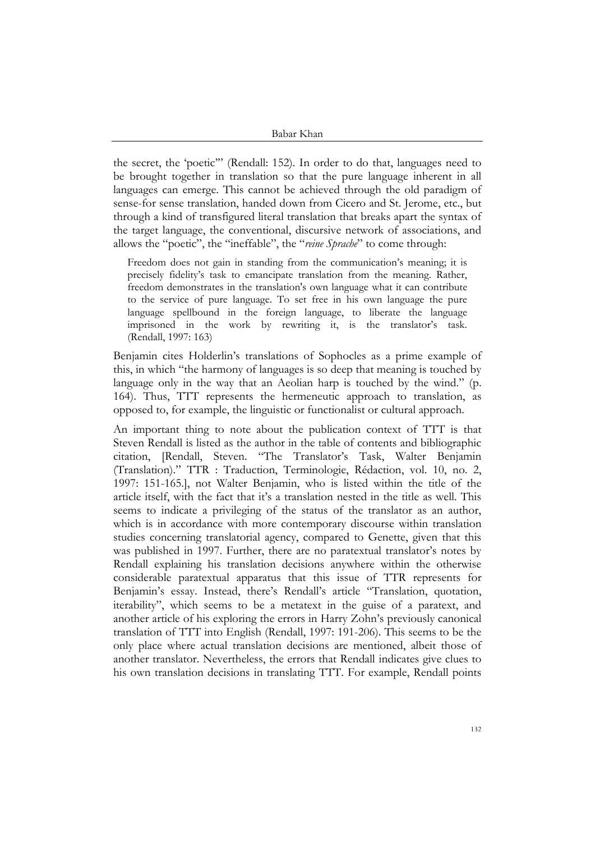the secret, the 'poetic'" (Rendall: 152). In order to do that, languages need to be brought together in translation so that the pure language inherent in all languages can emerge. This cannot be achieved through the old paradigm of sense-for sense translation, handed down from Cicero and St. Jerome, etc., but through a kind of transfigured literal translation that breaks apart the syntax of the target language, the conventional, discursive network of associations, and allows the "poetic", the "ineffable", the "*reine Sprache*" to come through:

Freedom does not gain in standing from the communication's meaning; it is precisely fidelity's task to emancipate translation from the meaning. Rather, freedom demonstrates in the translation's own language what it can contribute to the service of pure language. To set free in his own language the pure language spellbound in the foreign language, to liberate the language imprisoned in the work by rewriting it, is the translator's task. (Rendall, 1997: 163)

Benjamin cites Holderlin's translations of Sophocles as a prime example of this, in which "the harmony of languages is so deep that meaning is touched by language only in the way that an Aeolian harp is touched by the wind." (p. 164). Thus, TTT represents the hermeneutic approach to translation, as opposed to, for example, the linguistic or functionalist or cultural approach.

An important thing to note about the publication context of TTT is that Steven Rendall is listed as the author in the table of contents and bibliographic citation, [Rendall, Steven. "The Translator's Task, Walter Benjamin (Translation)." TTR : Traduction, Terminologie, Rédaction, vol. 10, no. 2, 1997: 151-165.], not Walter Benjamin, who is listed within the title of the article itself, with the fact that it's a translation nested in the title as well. This seems to indicate a privileging of the status of the translator as an author, which is in accordance with more contemporary discourse within translation studies concerning translatorial agency, compared to Genette, given that this was published in 1997. Further, there are no paratextual translator's notes by Rendall explaining his translation decisions anywhere within the otherwise considerable paratextual apparatus that this issue of TTR represents for Benjamin's essay. Instead, there's Rendall's article "Translation, quotation, iterability", which seems to be a metatext in the guise of a paratext, and another article of his exploring the errors in Harry Zohn's previously canonical translation of TTT into English (Rendall, 1997: 191-206). This seems to be the only place where actual translation decisions are mentioned, albeit those of another translator. Nevertheless, the errors that Rendall indicates give clues to his own translation decisions in translating TTT. For example, Rendall points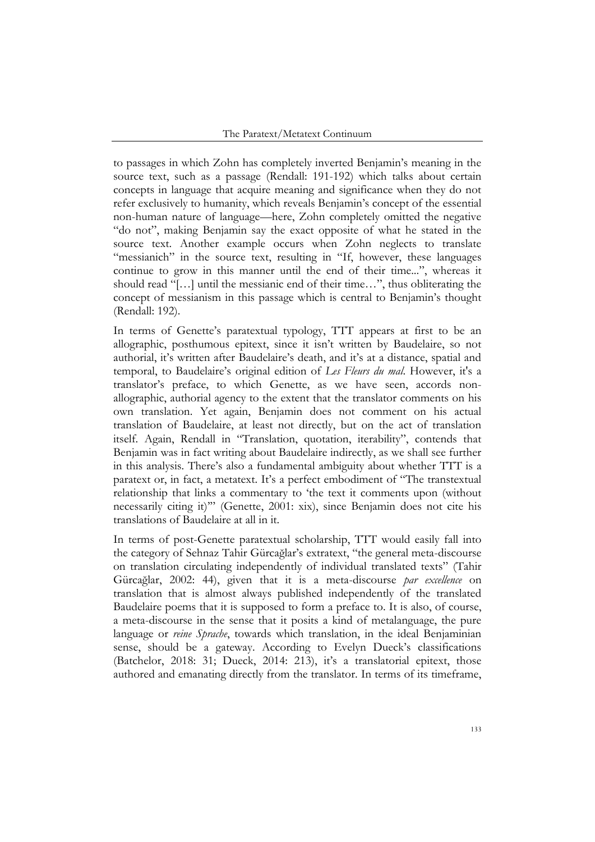to passages in which Zohn has completely inverted Benjamin's meaning in the source text, such as a passage (Rendall: 191-192) which talks about certain concepts in language that acquire meaning and significance when they do not refer exclusively to humanity, which reveals Benjamin's concept of the essential non-human nature of language—here, Zohn completely omitted the negative "do not", making Benjamin say the exact opposite of what he stated in the source text. Another example occurs when Zohn neglects to translate "messianich" in the source text, resulting in "If, however, these languages continue to grow in this manner until the end of their time...", whereas it should read "[…] until the messianic end of their time…", thus obliterating the concept of messianism in this passage which is central to Benjamin's thought (Rendall: 192).

In terms of Genette's paratextual typology, TTT appears at first to be an allographic, posthumous epitext, since it isn't written by Baudelaire, so not authorial, it's written after Baudelaire's death, and it's at a distance, spatial and temporal, to Baudelaire's original edition of *Les Fleurs du mal*. However, it's a translator's preface, to which Genette, as we have seen, accords nonallographic, authorial agency to the extent that the translator comments on his own translation. Yet again, Benjamin does not comment on his actual translation of Baudelaire, at least not directly, but on the act of translation itself. Again, Rendall in "Translation, quotation, iterability", contends that Benjamin was in fact writing about Baudelaire indirectly, as we shall see further in this analysis. There's also a fundamental ambiguity about whether TTT is a paratext or, in fact, a metatext. It's a perfect embodiment of "The transtextual relationship that links a commentary to 'the text it comments upon (without necessarily citing it)'" (Genette, 2001: xix), since Benjamin does not cite his translations of Baudelaire at all in it.

In terms of post-Genette paratextual scholarship, TTT would easily fall into the category of Sehnaz Tahir Gürcağlar's extratext, "the general meta-discourse on translation circulating independently of individual translated texts" (Tahir Gürcağlar, 2002: 44), given that it is a meta-discourse *par excellence* on translation that is almost always published independently of the translated Baudelaire poems that it is supposed to form a preface to. It is also, of course, a meta-discourse in the sense that it posits a kind of metalanguage, the pure language or *reine Sprache*, towards which translation, in the ideal Benjaminian sense, should be a gateway. According to Evelyn Dueck's classifications (Batchelor, 2018: 31; Dueck, 2014: 213), it's a translatorial epitext, those authored and emanating directly from the translator. In terms of its timeframe,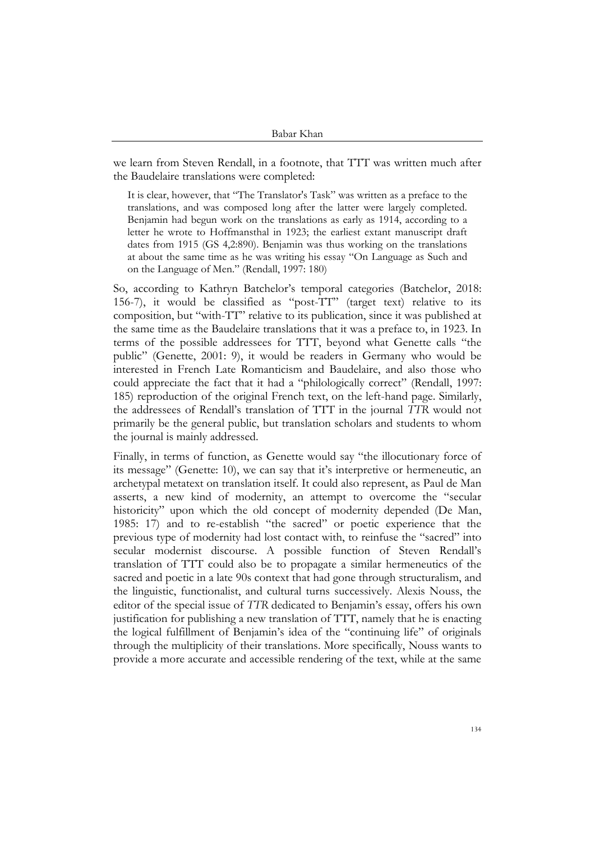we learn from Steven Rendall, in a footnote, that TTT was written much after the Baudelaire translations were completed:

It is clear, however, that "The Translator's Task" was written as a preface to the translations, and was composed long after the latter were largely completed. Benjamin had begun work on the translations as early as 1914, according to a letter he wrote to Hoffmansthal in 1923; the earliest extant manuscript draft dates from 1915 (GS 4,2:890). Benjamin was thus working on the translations at about the same time as he was writing his essay "On Language as Such and on the Language of Men." (Rendall, 1997: 180)

So, according to Kathryn Batchelor's temporal categories (Batchelor, 2018: 156-7), it would be classified as "post-TT" (target text) relative to its composition, but "with-TT" relative to its publication, since it was published at the same time as the Baudelaire translations that it was a preface to, in 1923. In terms of the possible addressees for TTT, beyond what Genette calls "the public" (Genette, 2001: 9), it would be readers in Germany who would be interested in French Late Romanticism and Baudelaire, and also those who could appreciate the fact that it had a "philologically correct" (Rendall, 1997: 185) reproduction of the original French text, on the left-hand page. Similarly, the addressees of Rendall's translation of TTT in the journal *TTR* would not primarily be the general public, but translation scholars and students to whom the journal is mainly addressed.

Finally, in terms of function, as Genette would say "the illocutionary force of its message" (Genette: 10), we can say that it's interpretive or hermeneutic, an archetypal metatext on translation itself. It could also represent, as Paul de Man asserts, a new kind of modernity, an attempt to overcome the "secular historicity" upon which the old concept of modernity depended (De Man, 1985: 17) and to re-establish "the sacred" or poetic experience that the previous type of modernity had lost contact with, to reinfuse the "sacred" into secular modernist discourse. A possible function of Steven Rendall's translation of TTT could also be to propagate a similar hermeneutics of the sacred and poetic in a late 90s context that had gone through structuralism, and the linguistic, functionalist, and cultural turns successively. Alexis Nouss, the editor of the special issue of *TTR* dedicated to Benjamin's essay, offers his own justification for publishing a new translation of TTT, namely that he is enacting the logical fulfillment of Benjamin's idea of the "continuing life" of originals through the multiplicity of their translations. More specifically, Nouss wants to provide a more accurate and accessible rendering of the text, while at the same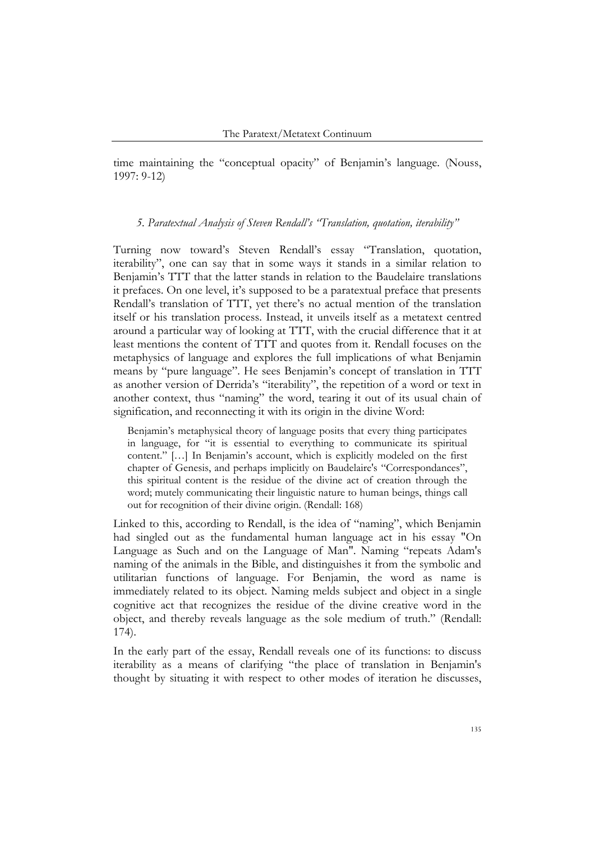time maintaining the "conceptual opacity" of Benjamin's language. (Nouss, 1997: 9-12)

### *5. Paratextual Analysis of Steven Rendall's "Translation, quotation, iterability"*

Turning now toward's Steven Rendall's essay "Translation, quotation, iterability", one can say that in some ways it stands in a similar relation to Benjamin's TTT that the latter stands in relation to the Baudelaire translations it prefaces. On one level, it's supposed to be a paratextual preface that presents Rendall's translation of TTT, yet there's no actual mention of the translation itself or his translation process. Instead, it unveils itself as a metatext centred around a particular way of looking at TTT, with the crucial difference that it at least mentions the content of TTT and quotes from it. Rendall focuses on the metaphysics of language and explores the full implications of what Benjamin means by "pure language". He sees Benjamin's concept of translation in TTT as another version of Derrida's "iterability", the repetition of a word or text in another context, thus "naming" the word, tearing it out of its usual chain of signification, and reconnecting it with its origin in the divine Word:

Benjamin's metaphysical theory of language posits that every thing participates in language, for "it is essential to everything to communicate its spiritual content." […] In Benjamin's account, which is explicitly modeled on the first chapter of Genesis, and perhaps implicitly on Baudelaire's "Correspondances", this spiritual content is the residue of the divine act of creation through the word; mutely communicating their linguistic nature to human beings, things call out for recognition of their divine origin. (Rendall: 168)

Linked to this, according to Rendall, is the idea of "naming", which Benjamin had singled out as the fundamental human language act in his essay "On Language as Such and on the Language of Man". Naming "repeats Adam's naming of the animals in the Bible, and distinguishes it from the symbolic and utilitarian functions of language. For Benjamin, the word as name is immediately related to its object. Naming melds subject and object in a single cognitive act that recognizes the residue of the divine creative word in the object, and thereby reveals language as the sole medium of truth." (Rendall: 174).

In the early part of the essay, Rendall reveals one of its functions: to discuss iterability as a means of clarifying "the place of translation in Benjamin's thought by situating it with respect to other modes of iteration he discusses,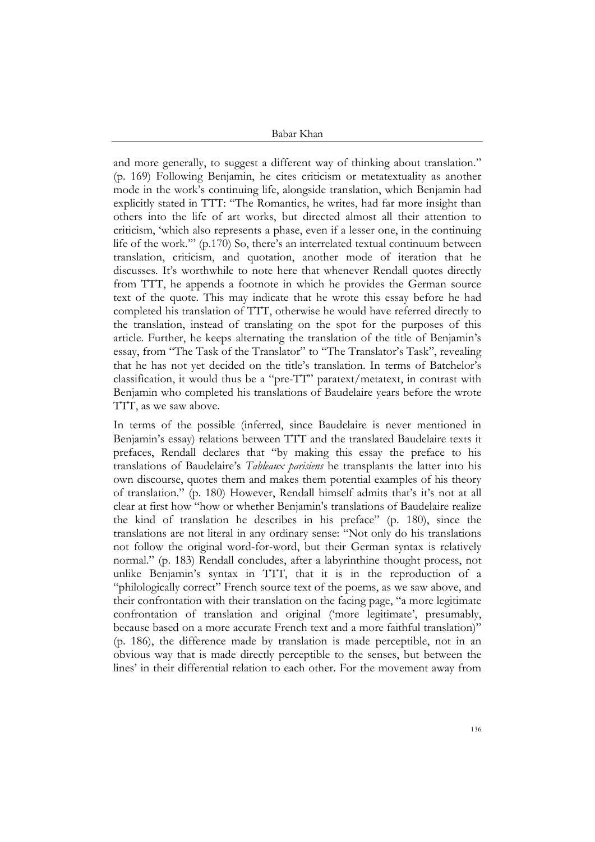and more generally, to suggest a different way of thinking about translation." (p. 169) Following Benjamin, he cites criticism or metatextuality as another mode in the work's continuing life, alongside translation, which Benjamin had explicitly stated in TTT: "The Romantics, he writes, had far more insight than others into the life of art works, but directed almost all their attention to criticism, 'which also represents a phase, even if a lesser one, in the continuing life of the work.'" (p.170) So, there's an interrelated textual continuum between translation, criticism, and quotation, another mode of iteration that he discusses. It's worthwhile to note here that whenever Rendall quotes directly from TTT, he appends a footnote in which he provides the German source text of the quote. This may indicate that he wrote this essay before he had completed his translation of TTT, otherwise he would have referred directly to the translation, instead of translating on the spot for the purposes of this article. Further, he keeps alternating the translation of the title of Benjamin's essay, from "The Task of the Translator" to "The Translator's Task", revealing that he has not yet decided on the title's translation. In terms of Batchelor's classification, it would thus be a "pre-TT" paratext/metatext, in contrast with Benjamin who completed his translations of Baudelaire years before the wrote TTT, as we saw above.

In terms of the possible (inferred, since Baudelaire is never mentioned in Benjamin's essay) relations between TTT and the translated Baudelaire texts it prefaces, Rendall declares that "by making this essay the preface to his translations of Baudelaire's *Tableaux parisiens* he transplants the latter into his own discourse, quotes them and makes them potential examples of his theory of translation." (p. 180) However, Rendall himself admits that's it's not at all clear at first how "how or whether Benjamin's translations of Baudelaire realize the kind of translation he describes in his preface" (p. 180), since the translations are not literal in any ordinary sense: "Not only do his translations not follow the original word-for-word, but their German syntax is relatively normal." (p. 183) Rendall concludes, after a labyrinthine thought process, not unlike Benjamin's syntax in TTT, that it is in the reproduction of a "philologically correct" French source text of the poems, as we saw above, and their confrontation with their translation on the facing page, "a more legitimate confrontation of translation and original ('more legitimate', presumably, because based on a more accurate French text and a more faithful translation)" (p. 186), the difference made by translation is made perceptible, not in an obvious way that is made directly perceptible to the senses, but between the lines' in their differential relation to each other. For the movement away from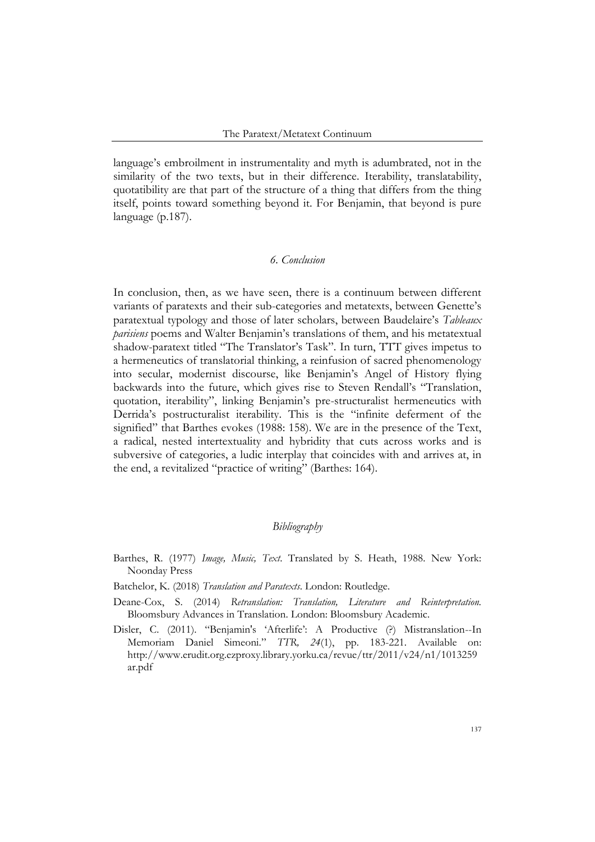language's embroilment in instrumentality and myth is adumbrated, not in the similarity of the two texts, but in their difference. Iterability, translatability, quotatibility are that part of the structure of a thing that differs from the thing itself, points toward something beyond it. For Benjamin, that beyond is pure language (p.187).

### *6. Conclusion*

In conclusion, then, as we have seen, there is a continuum between different variants of paratexts and their sub-categories and metatexts, between Genette's paratextual typology and those of later scholars, between Baudelaire's *Tableaux parisiens* poems and Walter Benjamin's translations of them, and his metatextual shadow-paratext titled "The Translator's Task". In turn, TTT gives impetus to a hermeneutics of translatorial thinking, a reinfusion of sacred phenomenology into secular, modernist discourse, like Benjamin's Angel of History flying backwards into the future, which gives rise to Steven Rendall's "Translation, quotation, iterability", linking Benjamin's pre-structuralist hermeneutics with Derrida's postructuralist iterability. This is the "infinite deferment of the signified" that Barthes evokes (1988: 158). We are in the presence of the Text, a radical, nested intertextuality and hybridity that cuts across works and is subversive of categories, a ludic interplay that coincides with and arrives at, in the end, a revitalized "practice of writing" (Barthes: 164).

### *Bibliography*

- Barthes, R. (1977) *Image, Music, Text*. Translated by S. Heath, 1988. New York: Noonday Press
- Batchelor, K. (2018) *Translation and Paratexts*. London: Routledge.
- Deane-Cox, S. (2014) *Retranslation: Translation, Literature and Reinterpretation.*  Bloomsbury Advances in Translation. London: Bloomsbury Academic.
- Disler, C. (2011). "Benjamin's 'Afterlife': A Productive (?) Mistranslation--In Memoriam Daniel Simeoni." *TTR, 24*(1), pp. 183-221. Available on: http://www.erudit.org.ezproxy.library.yorku.ca/revue/ttr/2011/v24/n1/1013259 ar.pdf